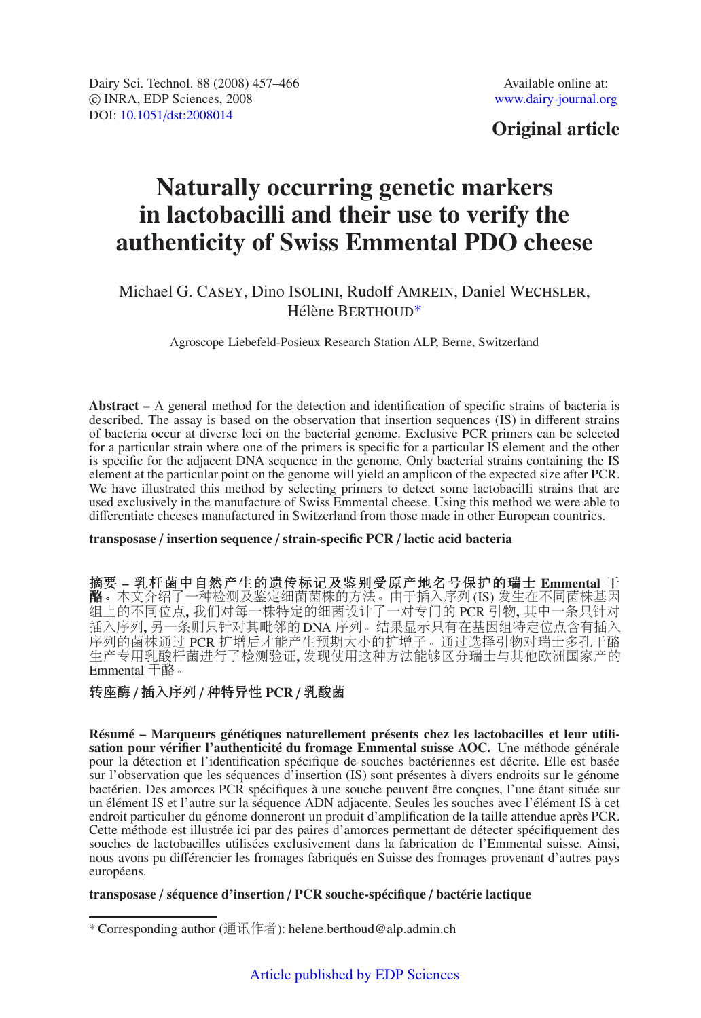# **Original article**

# **Naturally occurring genetic markers in lactobacilli and their use to verify the authenticity of Swiss Emmental PDO cheese**

## Michael G. CASEY, Dino ISOLINI, Rudolf AMREIN, Daniel WECHSLER, Hélène BERTHOUD\*

Agroscope Liebefeld-Posieux Research Station ALP, Berne, Switzerland

**Abstract –** A general method for the detection and identification of specific strains of bacteria is described. The assay is based on the observation that insertion sequences (IS) in different strains of bacteria occur at diverse loci on the bacterial genome. Exclusive PCR primers can be selected for a particular strain where one of the primers is specific for a particular IS element and the other is specific for the adjacent DNA sequence in the genome. Only bacterial strains containing the IS element at the particular point on the genome will yield an amplicon of the expected size after PCR. We have illustrated this method by selecting primers to detect some lactobacilli strains that are used exclusively in the manufacture of Swiss Emmental cheese. Using this method we were able to differentiate cheeses manufactured in Switzerland from those made in other European countries.

#### **transposase** / **insertion sequence** / **strain-specific PCR** / **lactic acid bacteria**

摘要 **–** 乳杆菌中自然产生的遗传标记及鉴别受原产地名号保护的瑞士 **Emmental** 干 酪。本文介绍了一种检测及鉴定细菌菌株的方法。由于插入序列 (IS) 发生在不同菌株基因 组上的不同位点**,** 我们对每一株特定的细菌设计了一对专门的 PCR 引物**,** 其中一条只针对 插入序列**,** 另一条则只针对其毗邻的 DNA 序列。结果显示只有在基因组特定位点含有插入 序列的菌株通过 PCR 扩增后才能产生预期大小的扩增子。通过选择引物对瑞士多孔干酪 生产专用乳酸杆菌进行了检测验证**,** 发现使用这种方法能够区分瑞士与其他欧洲国家产的 Emmental 干酪。

## 转座酶 / 插入序列 / 种特异性 **PCR** / 乳酸菌

**Résumé – Marqueurs génétiques naturellement présents chez les lactobacilles et leur utilisation pour vérifier l'authenticité du fromage Emmental suisse AOC.** Une méthode générale pour la détection et l'identification spécifique de souches bactériennes est décrite. Elle est basée sur l'observation que les séquences d'insertion (IS) sont présentes à divers endroits sur le génome bactérien. Des amorces PCR spécifiques à une souche peuvent être conçues, l'une étant située sur un élément IS et l'autre sur la séquence ADN adjacente. Seules les souches avec l'élément IS à cet endroit particulier du génome donneront un produit d'amplification de la taille attendue après PCR. Cette méthode est illustrée ici par des paires d'amorces permettant de détecter spécifiquement des souches de lactobacilles utilisées exclusivement dans la fabrication de l'Emmental suisse. Ainsi, nous avons pu différencier les fromages fabriqués en Suisse des fromages provenant d'autres pays européens.

#### **transposase** / **séquence d'insertion** / **PCR souche-spécifique** / **bactérie lactique**

<sup>\*</sup> Corresponding author (通讯作者): helene.berthoud@alp.admin.ch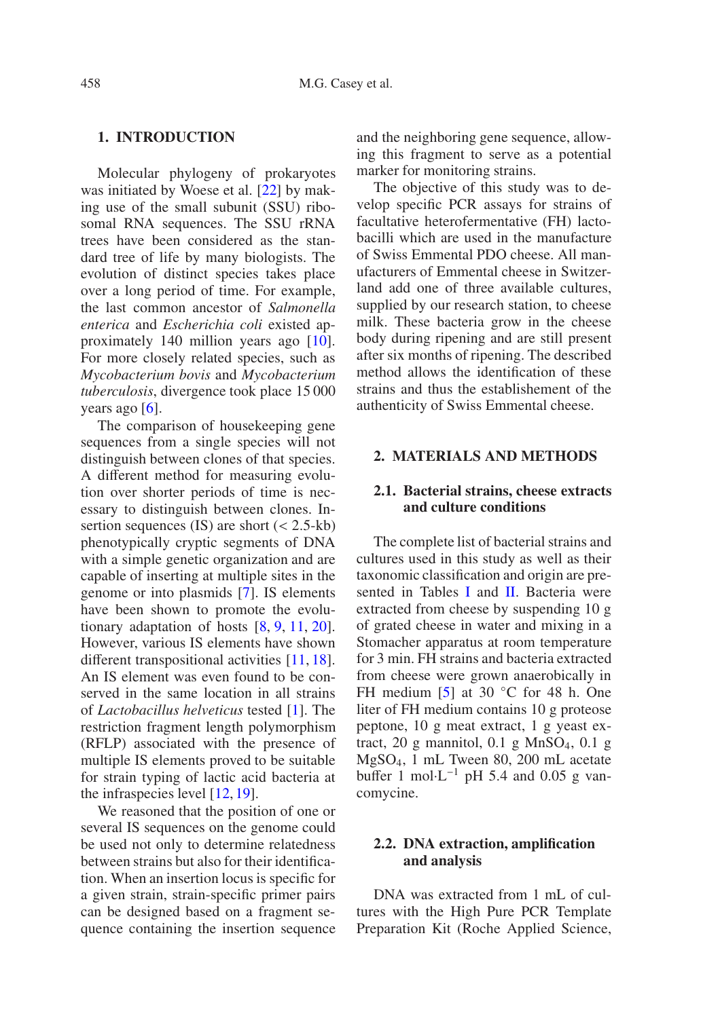## **1. INTRODUCTION**

Molecular phylogeny of prokaryotes was initiated by Woese et al. [\[22\]](#page-9-0) by making use of the small subunit (SSU) ribosomal RNA sequences. The SSU rRNA trees have been considered as the standard tree of life by many biologists. The evolution of distinct species takes place over a long period of time. For example, the last common ancestor of *Salmonella enterica* and *Escherichia coli* existed approximately 140 million years ago [\[10](#page-9-1)]. For more closely related species, such as *Mycobacterium bovis* and *Mycobacterium tuberculosis*, divergence took place 15 000 years ago [\[6\]](#page-9-2).

The comparison of housekeeping gene sequences from a single species will not distinguish between clones of that species. A different method for measuring evolution over shorter periods of time is necessary to distinguish between clones. Insertion sequences (IS) are short (< 2.5-kb) phenotypically cryptic segments of DNA with a simple genetic organization and are capable of inserting at multiple sites in the genome or into plasmids [\[7\]](#page-9-3). IS elements have been shown to promote the evolutionary adaptation of hosts  $[8, 9, 11, 20]$  $[8, 9, 11, 20]$  $[8, 9, 11, 20]$  $[8, 9, 11, 20]$  $[8, 9, 11, 20]$  $[8, 9, 11, 20]$  $[8, 9, 11, 20]$  $[8, 9, 11, 20]$ . However, various IS elements have shown different transpositional activities [\[11](#page-9-6), [18](#page-9-8)]. An IS element was even found to be conserved in the same location in all strains of *Lactobacillus helveticus* tested [\[1\]](#page-9-9). The restriction fragment length polymorphism (RFLP) associated with the presence of multiple IS elements proved to be suitable for strain typing of lactic acid bacteria at the infraspecies level [\[12](#page-9-10), [19](#page-9-11)].

We reasoned that the position of one or several IS sequences on the genome could be used not only to determine relatedness between strains but also for their identification. When an insertion locus is specific for a given strain, strain-specific primer pairs can be designed based on a fragment sequence containing the insertion sequence and the neighboring gene sequence, allowing this fragment to serve as a potential marker for monitoring strains.

The objective of this study was to develop specific PCR assays for strains of facultative heterofermentative (FH) lactobacilli which are used in the manufacture of Swiss Emmental PDO cheese. All manufacturers of Emmental cheese in Switzerland add one of three available cultures, supplied by our research station, to cheese milk. These bacteria grow in the cheese body during ripening and are still present after six months of ripening. The described method allows the identification of these strains and thus the establishement of the authenticity of Swiss Emmental cheese.

## **2. MATERIALS AND METHODS**

## **2.1. Bacterial strains, cheese extracts and culture conditions**

The complete list of bacterial strains and cultures used in this study as well as their taxonomic classification and origin are presented in Tables [I](#page-2-0) and [II.](#page-2-1) Bacteria were extracted from cheese by suspending 10 g of grated cheese in water and mixing in a Stomacher apparatus at room temperature for 3 min. FH strains and bacteria extracted from cheese were grown anaerobically in FH medium [\[5\]](#page-9-12) at 30 ◦C for 48 h. One liter of FH medium contains 10 g proteose peptone, 10 g meat extract, 1 g yeast extract, 20 g mannitol,  $0.1$  g MnSO<sub>4</sub>,  $0.1$  g MgSO4, 1 mL Tween 80, 200 mL acetate buffer 1 mol⋅L<sup>-1</sup> pH 5.4 and 0.05 g vancomycine.

## **2.2. DNA extraction, amplification and analysis**

DNA was extracted from 1 mL of cultures with the High Pure PCR Template Preparation Kit (Roche Applied Science,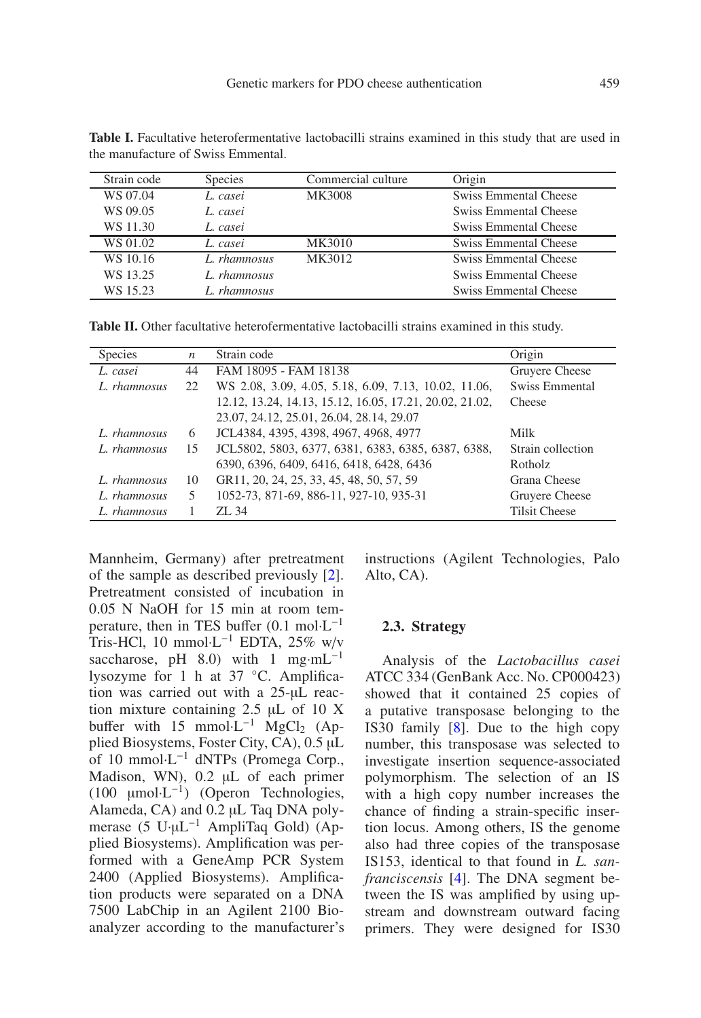| Strain code | <b>Species</b> | Commercial culture    | Origin                       |  |
|-------------|----------------|-----------------------|------------------------------|--|
| WS 07.04    | L. casei       | MK3008                | Swiss Emmental Cheese        |  |
| WS 09.05    | L. casei       | Swiss Emmental Cheese |                              |  |
| WS 11.30    | L. casei       |                       | <b>Swiss Emmental Cheese</b> |  |
| WS 01.02    | L. casei       | MK3010                | Swiss Emmental Cheese        |  |
| WS 10.16    | L. rhamnosus   | MK3012                | Swiss Emmental Cheese        |  |
| WS 13.25    | L. rhamnosus   |                       | Swiss Emmental Cheese        |  |
| WS 15.23    | L. rhamnosus   |                       | Swiss Emmental Cheese        |  |

<span id="page-2-1"></span><span id="page-2-0"></span>**Table I.** Facultative heterofermentative lactobacilli strains examined in this study that are used in the manufacture of Swiss Emmental.

**Table II.** Other facultative heterofermentative lactobacilli strains examined in this study.

| <b>Species</b> | $\boldsymbol{n}$ | Strain code                                             | Origin               |
|----------------|------------------|---------------------------------------------------------|----------------------|
| L. casei       | 44               | FAM 18095 - FAM 18138                                   | Gruyere Cheese       |
| L. rhamnosus   | 22               | WS 2.08, 3.09, 4.05, 5.18, 6.09, 7.13, 10.02, 11.06,    | Swiss Emmental       |
|                |                  | 12.12, 13.24, 14.13, 15.12, 16.05, 17.21, 20.02, 21.02, | Cheese               |
|                |                  | 23.07, 24.12, 25.01, 26.04, 28.14, 29.07                |                      |
| L. rhamnosus   | 6                | JCL4384, 4395, 4398, 4967, 4968, 4977                   | Milk                 |
| L. rhamnosus   | 15               | JCL5802, 5803, 6377, 6381, 6383, 6385, 6387, 6388,      | Strain collection    |
|                |                  | 6390, 6396, 6409, 6416, 6418, 6428, 6436                | Rotholz              |
| L. rhamnosus   | 10               | GR11, 20, 24, 25, 33, 45, 48, 50, 57, 59                | Grana Cheese         |
| L. rhamnosus   | 5                | 1052-73, 871-69, 886-11, 927-10, 935-31                 | Gruyere Cheese       |
| L. rhamnosus   |                  | ZL.34                                                   | <b>Tilsit Cheese</b> |

Mannheim, Germany) after pretreatment of the sample as described previously [\[2\]](#page-9-13). Pretreatment consisted of incubation in 0.05 N NaOH for 15 min at room temperature, then in TES buffer  $(0.1 \text{ mol} \cdot \text{L}^{-1})$ Tris-HCl, 10 mmol·L<sup>-1</sup> EDTA, 25% w/v saccharose, pH 8.0) with 1 mg⋅mL<sup>-1</sup> lysozyme for 1 h at 37 ◦C. Amplification was carried out with a 25-µL reaction mixture containing 2.5 µL of 10 X buffer with 15 mmol⋅L<sup>-1</sup> MgCl<sub>2</sub> (Applied Biosystems, Foster City, CA), 0.5 µL of 10 mmol·L−<sup>1</sup> dNTPs (Promega Corp., Madison, WN), 0.2 µL of each primer (100 µmol·L−1) (Operon Technologies, Alameda, CA) and 0.2 µL Taq DNA polymerase (5 U·µL−<sup>1</sup> AmpliTaq Gold) (Applied Biosystems). Amplification was performed with a GeneAmp PCR System 2400 (Applied Biosystems). Amplification products were separated on a DNA 7500 LabChip in an Agilent 2100 Bioanalyzer according to the manufacturer's instructions (Agilent Technologies, Palo Alto, CA).

#### **2.3. Strategy**

Analysis of the *Lactobacillus casei* ATCC 334 (GenBank Acc. No. CP000423) showed that it contained 25 copies of a putative transposase belonging to the IS30 family [\[8\]](#page-9-4). Due to the high copy number, this transposase was selected to investigate insertion sequence-associated polymorphism. The selection of an IS with a high copy number increases the chance of finding a strain-specific insertion locus. Among others, IS the genome also had three copies of the transposase IS153, identical to that found in *L. sanfranciscensis* [\[4](#page-9-14)]. The DNA segment between the IS was amplified by using upstream and downstream outward facing primers. They were designed for IS30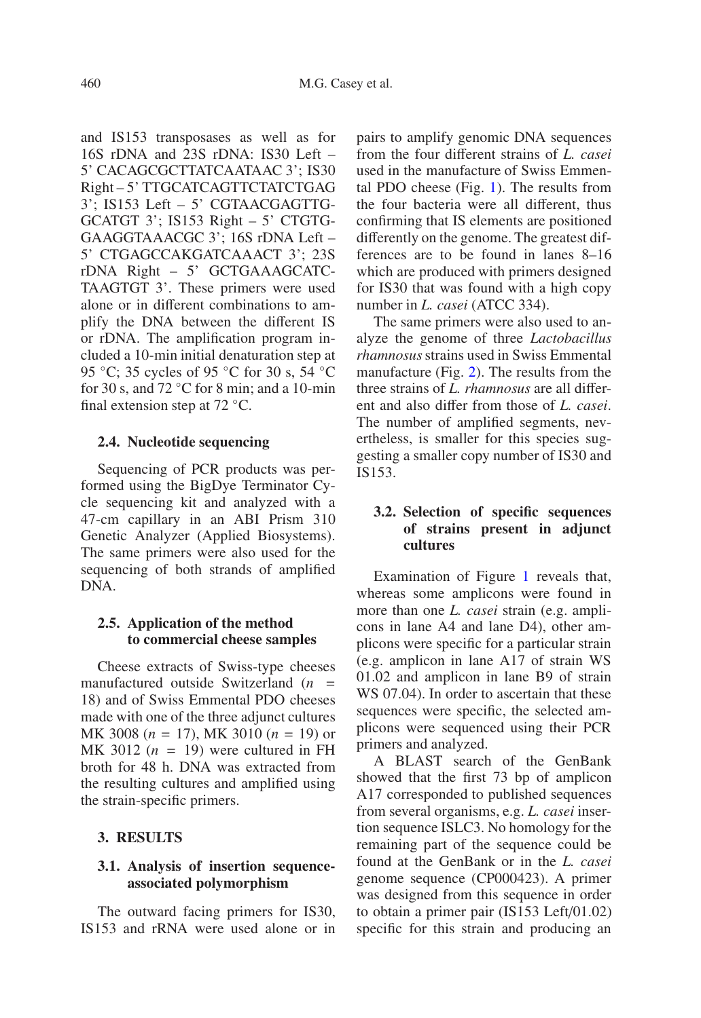and IS153 transposases as well as for 16S rDNA and 23S rDNA: IS30 Left – 5' CACAGCGCTTATCAATAAC 3'; IS30 Right – 5' TTGCATCAGTTCTATCTGAG 3'; IS153 Left – 5' CGTAACGAGTTG-GCATGT 3'; IS153 Right – 5' CTGTG-GAAGGTAAACGC 3'; 16S rDNA Left – 5' CTGAGCCAKGATCAAACT 3'; 23S rDNA Right – 5' GCTGAAAGCATC-TAAGTGT 3'. These primers were used alone or in different combinations to amplify the DNA between the different IS or rDNA. The amplification program included a 10-min initial denaturation step at 95 °C; 35 cycles of 95 °C for 30 s, 54 °C for 30 s, and 72  $\degree$ C for 8 min; and a 10-min final extension step at  $72 °C$ .

## **2.4. Nucleotide sequencing**

Sequencing of PCR products was performed using the BigDye Terminator Cycle sequencing kit and analyzed with a 47-cm capillary in an ABI Prism 310 Genetic Analyzer (Applied Biosystems). The same primers were also used for the sequencing of both strands of amplified DNA.

## **2.5. Application of the method to commercial cheese samples**

Cheese extracts of Swiss-type cheeses manufactured outside Switzerland (*n* = 18) and of Swiss Emmental PDO cheeses made with one of the three adjunct cultures MK 3008 (*n* = 17), MK 3010 (*n* = 19) or MK 3012  $(n = 19)$  were cultured in FH broth for 48 h. DNA was extracted from the resulting cultures and amplified using the strain-specific primers.

## **3. RESULTS**

## **3.1. Analysis of insertion sequenceassociated polymorphism**

The outward facing primers for IS30, IS153 and rRNA were used alone or in

pairs to amplify genomic DNA sequences from the four different strains of *L. casei* used in the manufacture of Swiss Emmental PDO cheese (Fig. [1\)](#page-4-0). The results from the four bacteria were all different, thus confirming that IS elements are positioned differently on the genome. The greatest differences are to be found in lanes 8–16 which are produced with primers designed for IS30 that was found with a high copy number in *L. casei* (ATCC 334).

The same primers were also used to analyze the genome of three *Lactobacillus rhamnosus*strains used in Swiss Emmental manufacture (Fig. [2\)](#page-5-0). The results from the three strains of *L. rhamnosus* are all different and also differ from those of *L. casei*. The number of amplified segments, nevertheless, is smaller for this species suggesting a smaller copy number of IS30 and IS153.

## **3.2. Selection of specific sequences of strains present in adjunct cultures**

Examination of Figure [1](#page-4-0) reveals that, whereas some amplicons were found in more than one *L. casei* strain (e.g. amplicons in lane A4 and lane D4), other amplicons were specific for a particular strain (e.g. amplicon in lane A17 of strain WS 01.02 and amplicon in lane B9 of strain WS 07.04). In order to ascertain that these sequences were specific, the selected amplicons were sequenced using their PCR primers and analyzed.

A BLAST search of the GenBank showed that the first 73 bp of amplicon A17 corresponded to published sequences from several organisms, e.g. *L. casei* insertion sequence ISLC3. No homology for the remaining part of the sequence could be found at the GenBank or in the *L. casei* genome sequence (CP000423). A primer was designed from this sequence in order to obtain a primer pair (IS153 Left/01.02) specific for this strain and producing an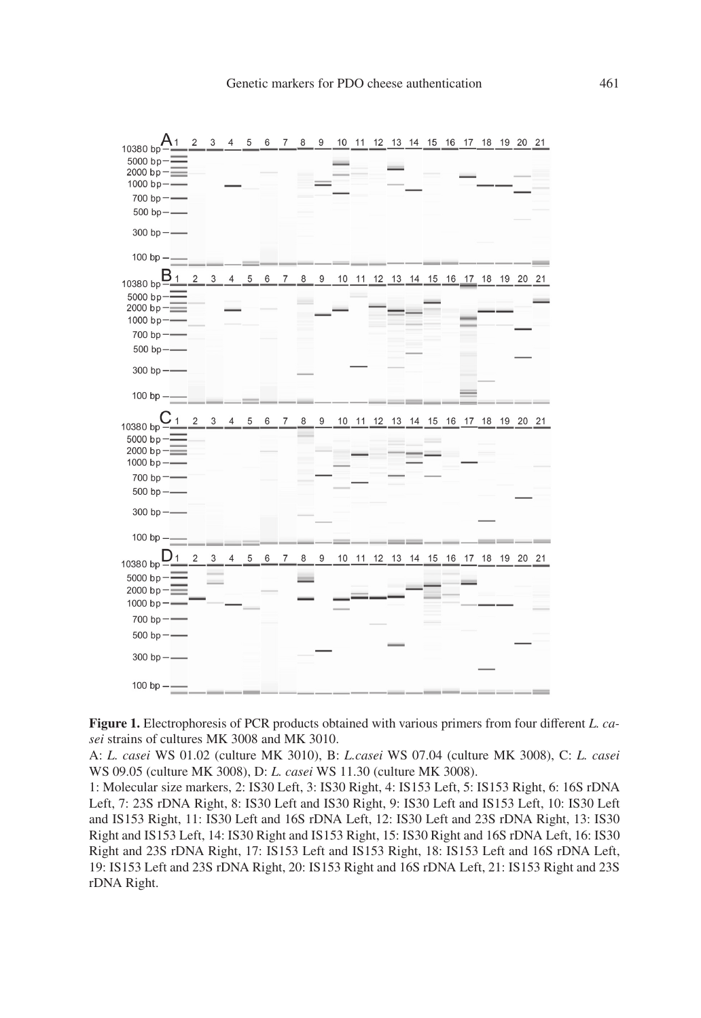

<span id="page-4-0"></span>**Figure 1.** Electrophoresis of PCR products obtained with various primers from four different *L. casei* strains of cultures MK 3008 and MK 3010.

A: *L. casei* WS 01.02 (culture MK 3010), B: *L.casei* WS 07.04 (culture MK 3008), C: *L. casei* WS 09.05 (culture MK 3008), D: *L. casei* WS 11.30 (culture MK 3008).

1: Molecular size markers, 2: IS30 Left, 3: IS30 Right, 4: IS153 Left, 5: IS153 Right, 6: 16S rDNA Left, 7: 23S rDNA Right, 8: IS30 Left and IS30 Right, 9: IS30 Left and IS153 Left, 10: IS30 Left and IS153 Right, 11: IS30 Left and 16S rDNA Left, 12: IS30 Left and 23S rDNA Right, 13: IS30 Right and IS153 Left, 14: IS30 Right and IS153 Right, 15: IS30 Right and 16S rDNA Left, 16: IS30 Right and 23S rDNA Right, 17: IS153 Left and IS153 Right, 18: IS153 Left and 16S rDNA Left, 19: IS153 Left and 23S rDNA Right, 20: IS153 Right and 16S rDNA Left, 21: IS153 Right and 23S rDNA Right.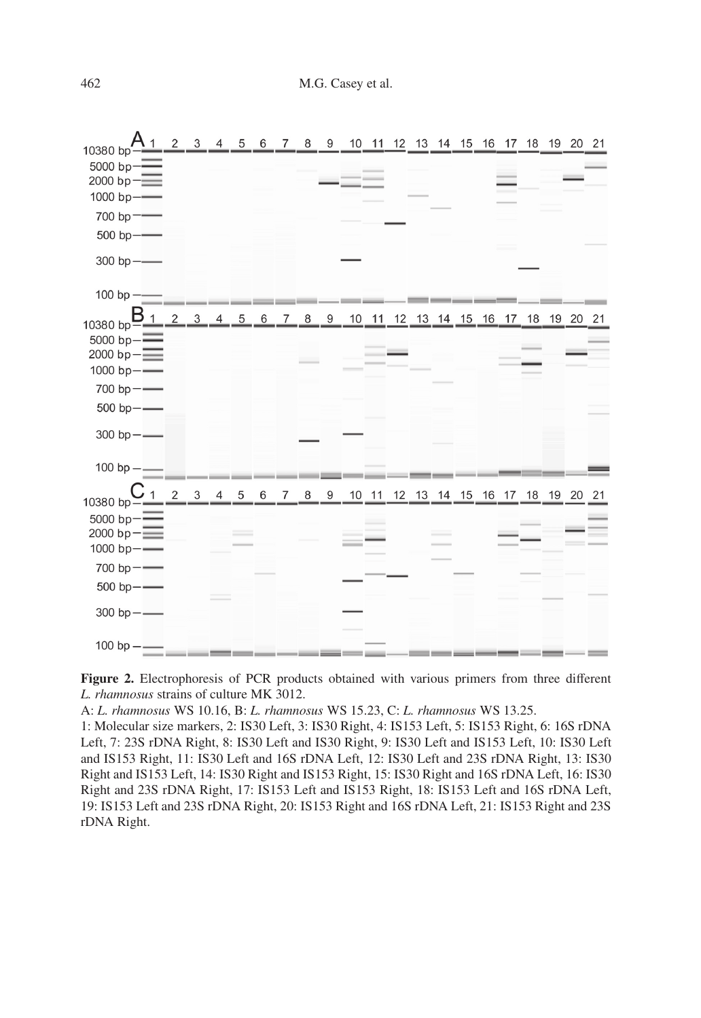

<span id="page-5-0"></span>**Figure 2.** Electrophoresis of PCR products obtained with various primers from three different *L. rhamnosus* strains of culture MK 3012.

A: *L. rhamnosus* WS 10.16, B: *L. rhamnosus* WS 15.23, C: *L. rhamnosus* WS 13.25.

1: Molecular size markers, 2: IS30 Left, 3: IS30 Right, 4: IS153 Left, 5: IS153 Right, 6: 16S rDNA Left, 7: 23S rDNA Right, 8: IS30 Left and IS30 Right, 9: IS30 Left and IS153 Left, 10: IS30 Left and IS153 Right, 11: IS30 Left and 16S rDNA Left, 12: IS30 Left and 23S rDNA Right, 13: IS30 Right and IS153 Left, 14: IS30 Right and IS153 Right, 15: IS30 Right and 16S rDNA Left, 16: IS30 Right and 23S rDNA Right, 17: IS153 Left and IS153 Right, 18: IS153 Left and 16S rDNA Left, 19: IS153 Left and 23S rDNA Right, 20: IS153 Right and 16S rDNA Left, 21: IS153 Right and 23S rDNA Right.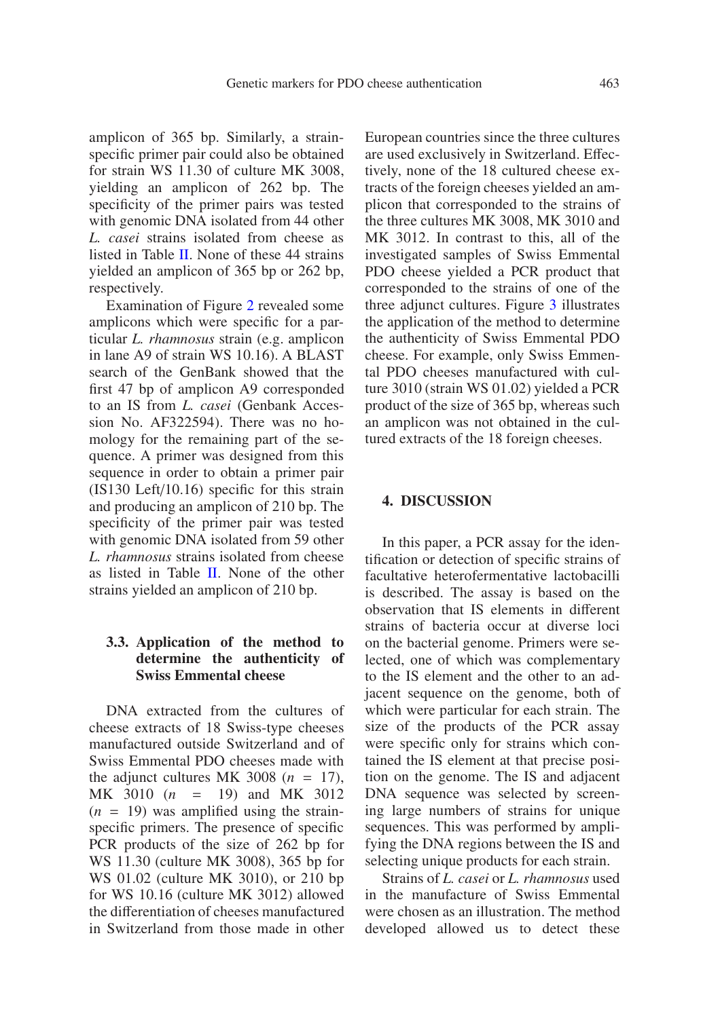amplicon of 365 bp. Similarly, a strainspecific primer pair could also be obtained for strain WS 11.30 of culture MK 3008, yielding an amplicon of 262 bp. The specificity of the primer pairs was tested with genomic DNA isolated from 44 other *L. casei* strains isolated from cheese as listed in Table [II.](#page-2-1) None of these 44 strains yielded an amplicon of 365 bp or 262 bp, respectively.

Examination of Figure [2](#page-5-0) revealed some amplicons which were specific for a particular *L. rhamnosus* strain (e.g. amplicon in lane A9 of strain WS 10.16). A BLAST search of the GenBank showed that the first 47 bp of amplicon A9 corresponded to an IS from *L. casei* (Genbank Accession No. AF322594). There was no homology for the remaining part of the sequence. A primer was designed from this sequence in order to obtain a primer pair (IS130 Left/10.16) specific for this strain and producing an amplicon of 210 bp. The specificity of the primer pair was tested with genomic DNA isolated from 59 other *L. rhamnosus* strains isolated from cheese as listed in Table [II.](#page-2-1) None of the other strains yielded an amplicon of 210 bp.

## **3.3. Application of the method to determine the authenticity of Swiss Emmental cheese**

DNA extracted from the cultures of cheese extracts of 18 Swiss-type cheeses manufactured outside Switzerland and of Swiss Emmental PDO cheeses made with the adjunct cultures MK 3008  $(n = 17)$ , MK 3010 (*n* = 19) and MK 3012  $(n = 19)$  was amplified using the strainspecific primers. The presence of specific PCR products of the size of 262 bp for WS 11.30 (culture MK 3008), 365 bp for WS 01.02 (culture MK 3010), or 210 bp for WS 10.16 (culture MK 3012) allowed the differentiation of cheeses manufactured in Switzerland from those made in other European countries since the three cultures are used exclusively in Switzerland. Effectively, none of the 18 cultured cheese extracts of the foreign cheeses yielded an amplicon that corresponded to the strains of the three cultures MK 3008, MK 3010 and MK 3012. In contrast to this, all of the investigated samples of Swiss Emmental PDO cheese yielded a PCR product that corresponded to the strains of one of the three adjunct cultures. Figure [3](#page-7-0) illustrates the application of the method to determine the authenticity of Swiss Emmental PDO cheese. For example, only Swiss Emmental PDO cheeses manufactured with culture 3010 (strain WS 01.02) yielded a PCR product of the size of 365 bp, whereas such an amplicon was not obtained in the cultured extracts of the 18 foreign cheeses.

#### **4. DISCUSSION**

In this paper, a PCR assay for the identification or detection of specific strains of facultative heterofermentative lactobacilli is described. The assay is based on the observation that IS elements in different strains of bacteria occur at diverse loci on the bacterial genome. Primers were selected, one of which was complementary to the IS element and the other to an adjacent sequence on the genome, both of which were particular for each strain. The size of the products of the PCR assay were specific only for strains which contained the IS element at that precise position on the genome. The IS and adjacent DNA sequence was selected by screening large numbers of strains for unique sequences. This was performed by amplifying the DNA regions between the IS and selecting unique products for each strain.

Strains of *L. casei* or *L. rhamnosus* used in the manufacture of Swiss Emmental were chosen as an illustration. The method developed allowed us to detect these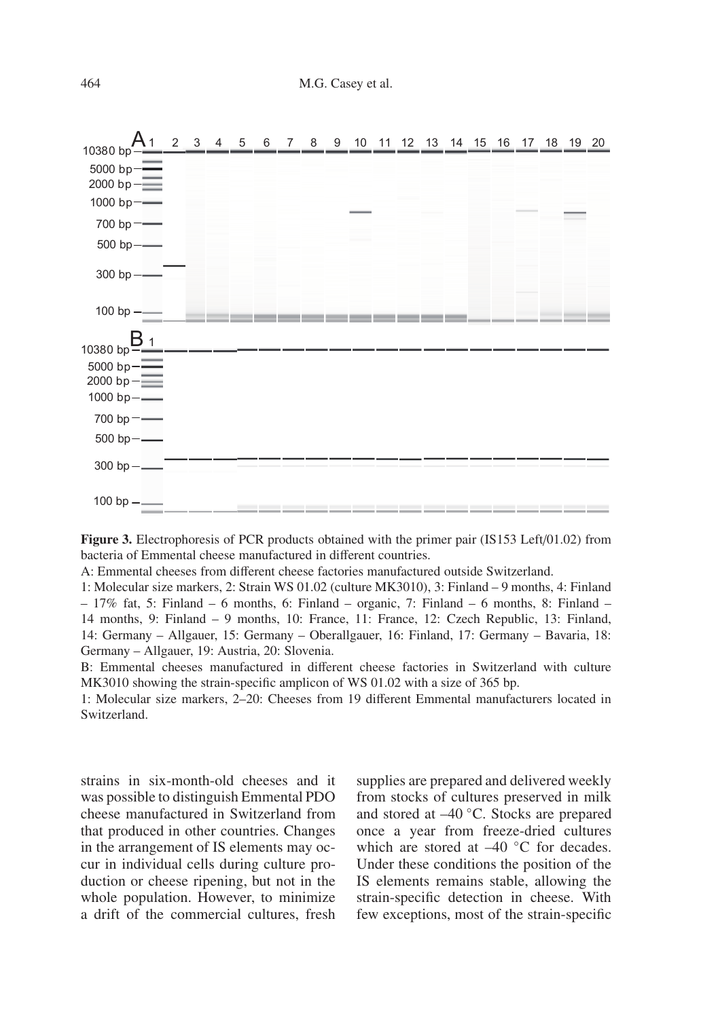<span id="page-7-0"></span>

**Figure 3.** Electrophoresis of PCR products obtained with the primer pair (IS153 Left/01.02) from bacteria of Emmental cheese manufactured in different countries.

A: Emmental cheeses from different cheese factories manufactured outside Switzerland.

1: Molecular size markers, 2: Strain WS 01.02 (culture MK3010), 3: Finland – 9 months, 4: Finland  $-17\%$  fat, 5: Finland – 6 months, 6: Finland – organic, 7: Finland – 6 months, 8: Finland – 14 months, 9: Finland – 9 months, 10: France, 11: France, 12: Czech Republic, 13: Finland, 14: Germany – Allgauer, 15: Germany – Oberallgauer, 16: Finland, 17: Germany – Bavaria, 18: Germany – Allgauer, 19: Austria, 20: Slovenia.

B: Emmental cheeses manufactured in different cheese factories in Switzerland with culture MK3010 showing the strain-specific amplicon of WS 01.02 with a size of 365 bp.

1: Molecular size markers, 2–20: Cheeses from 19 different Emmental manufacturers located in Switzerland.

strains in six-month-old cheeses and it was possible to distinguish Emmental PDO cheese manufactured in Switzerland from that produced in other countries. Changes in the arrangement of IS elements may occur in individual cells during culture production or cheese ripening, but not in the whole population. However, to minimize a drift of the commercial cultures, fresh

supplies are prepared and delivered weekly from stocks of cultures preserved in milk and stored at –40 ◦C. Stocks are prepared once a year from freeze-dried cultures which are stored at  $-40$  °C for decades. Under these conditions the position of the IS elements remains stable, allowing the strain-specific detection in cheese. With few exceptions, most of the strain-specific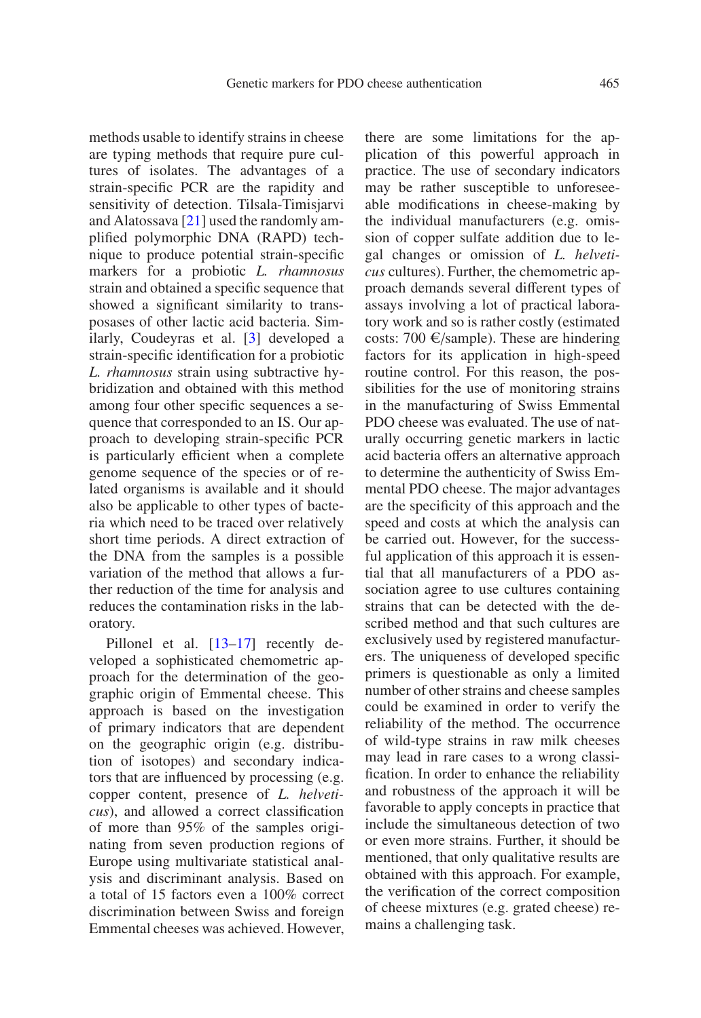methods usable to identify strains in cheese are typing methods that require pure cultures of isolates. The advantages of a strain-specific PCR are the rapidity and sensitivity of detection. Tilsala-Timisjarvi and Alatossava [\[21\]](#page-9-15) used the randomly amplified polymorphic DNA (RAPD) technique to produce potential strain-specific markers for a probiotic *L. rhamnosus* strain and obtained a specific sequence that showed a significant similarity to transposases of other lactic acid bacteria. Similarly, Coudeyras et al. [\[3\]](#page-9-16) developed a strain-specific identification for a probiotic *L. rhamnosus* strain using subtractive hybridization and obtained with this method among four other specific sequences a sequence that corresponded to an IS. Our approach to developing strain-specific PCR is particularly efficient when a complete genome sequence of the species or of related organisms is available and it should also be applicable to other types of bacteria which need to be traced over relatively short time periods. A direct extraction of the DNA from the samples is a possible variation of the method that allows a further reduction of the time for analysis and reduces the contamination risks in the laboratory.

Pillonel et al. [\[13](#page-9-17)[–17\]](#page-9-18) recently developed a sophisticated chemometric approach for the determination of the geographic origin of Emmental cheese. This approach is based on the investigation of primary indicators that are dependent on the geographic origin (e.g. distribution of isotopes) and secondary indicators that are influenced by processing (e.g. copper content, presence of *L. helveticus*), and allowed a correct classification of more than 95% of the samples originating from seven production regions of Europe using multivariate statistical analysis and discriminant analysis. Based on a total of 15 factors even a 100% correct discrimination between Swiss and foreign Emmental cheeses was achieved. However, there are some limitations for the application of this powerful approach in practice. The use of secondary indicators may be rather susceptible to unforeseeable modifications in cheese-making by the individual manufacturers (e.g. omission of copper sulfate addition due to legal changes or omission of *L. helveticus* cultures). Further, the chemometric approach demands several different types of assays involving a lot of practical laboratory work and so is rather costly (estimated costs: 700  $\in$ /sample). These are hindering factors for its application in high-speed routine control. For this reason, the possibilities for the use of monitoring strains in the manufacturing of Swiss Emmental PDO cheese was evaluated. The use of naturally occurring genetic markers in lactic acid bacteria offers an alternative approach to determine the authenticity of Swiss Emmental PDO cheese. The major advantages are the specificity of this approach and the speed and costs at which the analysis can be carried out. However, for the successful application of this approach it is essential that all manufacturers of a PDO association agree to use cultures containing strains that can be detected with the described method and that such cultures are exclusively used by registered manufacturers. The uniqueness of developed specific primers is questionable as only a limited number of other strains and cheese samples could be examined in order to verify the reliability of the method. The occurrence of wild-type strains in raw milk cheeses may lead in rare cases to a wrong classification. In order to enhance the reliability and robustness of the approach it will be favorable to apply concepts in practice that include the simultaneous detection of two or even more strains. Further, it should be mentioned, that only qualitative results are obtained with this approach. For example, the verification of the correct composition of cheese mixtures (e.g. grated cheese) remains a challenging task.